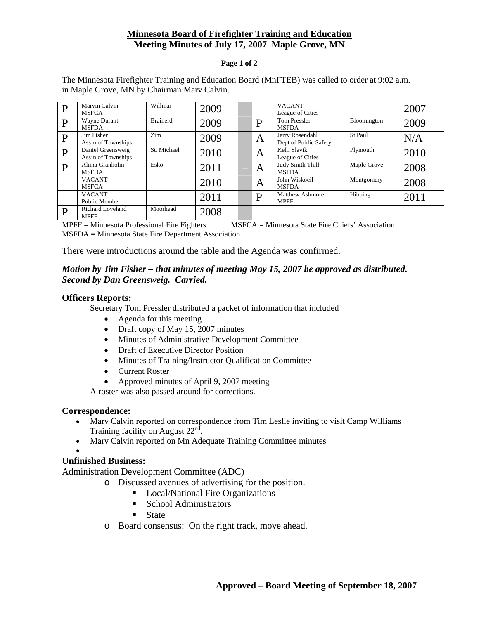# **Minnesota Board of Firefighter Training and Education Meeting Minutes of July 17, 2007 Maple Grove, MN**

#### **Page 1 of 2**

The Minnesota Firefighter Training and Education Board (MnFTEB) was called to order at 9:02 a.m. in Maple Grove, MN by Chairman Marv Calvin.

| D | Marvin Calvin<br><b>MSFCA</b>           | Willmar         | 2009 |   | <b>VACANT</b><br>League of Cities        |             | 2007 |
|---|-----------------------------------------|-----------------|------|---|------------------------------------------|-------------|------|
| D | Wayne Durant<br><b>MSFDA</b>            | <b>Brainerd</b> | 2009 | D | <b>Tom Pressler</b><br><b>MSFDA</b>      | Bloomington | 2009 |
| D | Jim Fisher<br>Ass'n of Townships        | Zim             | 2009 | A | Jerry Rosendahl<br>Dept of Public Safety | St Paul     | N/A  |
| D | Daniel Greensweig<br>Ass'n of Townships | St. Michael     | 2010 | A | Kelli Slavik<br>League of Cities         | Plymouth    | 2010 |
| D | Aliina Granholm<br><b>MSFDA</b>         | Esko            | 2011 | A | Judy Smith Thill<br><b>MSFDA</b>         | Maple Grove | 2008 |
|   | <b>VACANT</b><br><b>MSFCA</b>           |                 | 2010 | A | John Wiskocil<br><b>MSFDA</b>            | Montgomery  | 2008 |
|   | <b>VACANT</b><br>Public Member          |                 | 2011 | D | Matthew Ashmore<br><b>MPFF</b>           | Hibbing     | 2011 |
| D | <b>Richard Loveland</b><br><b>MPFF</b>  | Moorhead        | 2008 |   |                                          |             |      |

MPFF = Minnesota Professional Fire Fighters MSFCA = Minnesota State Fire Chiefs' Association MSFDA = Minnesota State Fire Department Association

There were introductions around the table and the Agenda was confirmed.

# *Motion by Jim Fisher – that minutes of meeting May 15, 2007 be approved as distributed. Second by Dan Greensweig. Carried.*

### **Officers Reports:**

Secretary Tom Pressler distributed a packet of information that included

- Agenda for this meeting
- Draft copy of May 15, 2007 minutes
- Minutes of Administrative Development Committee
- Draft of Executive Director Position
- Minutes of Training/Instructor Qualification Committee
- Current Roster
- Approved minutes of April 9, 2007 meeting

A roster was also passed around for corrections.

#### **Correspondence:**

- Mary Calvin reported on correspondence from Tim Leslie inviting to visit Camp Williams Training facility on August  $22<sup>nd</sup>$ .
- Marv Calvin reported on Mn Adequate Training Committee minutes

#### •

## **Unfinished Business:**

Administration Development Committee (ADC)

- o Discussed avenues of advertising for the position.
	- Local/National Fire Organizations
	- School Administrators
	- **State**
- o Board consensus: On the right track, move ahead.